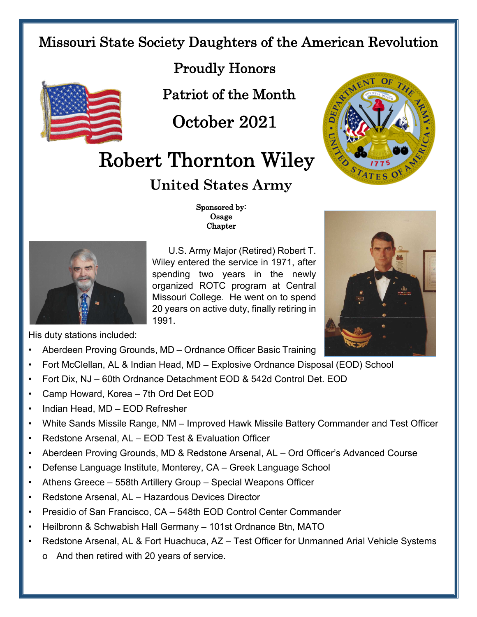## Missouri State Society Daughters of the American Revolution



Proudly Honors

Patriot of the Month

October 2021

## Robert Thornton Wiley

## **United States Army**





 Sponsored by: Osage Chapter

U.S. Army Major (Retired) Robert T. Wiley entered the service in 1971, after spending two years in the newly organized ROTC program at Central Missouri College. He went on to spend 20 years on active duty, finally retiring in 1991.



His duty stations included:

- Aberdeen Proving Grounds, MD Ordnance Officer Basic Training
- Fort McClellan, AL & Indian Head, MD Explosive Ordnance Disposal (EOD) School
- Fort Dix, NJ 60th Ordnance Detachment EOD & 542d Control Det. EOD
- Camp Howard, Korea 7th Ord Det EOD
- Indian Head, MD EOD Refresher
- White Sands Missile Range, NM Improved Hawk Missile Battery Commander and Test Officer
- Redstone Arsenal, AL EOD Test & Evaluation Officer
- Aberdeen Proving Grounds, MD & Redstone Arsenal, AL Ord Officer's Advanced Course
- Defense Language Institute, Monterey, CA Greek Language School
- Athens Greece 558th Artillery Group Special Weapons Officer
- Redstone Arsenal, AL Hazardous Devices Director
- Presidio of San Francisco, CA 548th EOD Control Center Commander
- Heilbronn & Schwabish Hall Germany 101st Ordnance Btn, MATO
- Redstone Arsenal, AL & Fort Huachuca, AZ Test Officer for Unmanned Arial Vehicle Systems
	- o And then retired with 20 years of service.